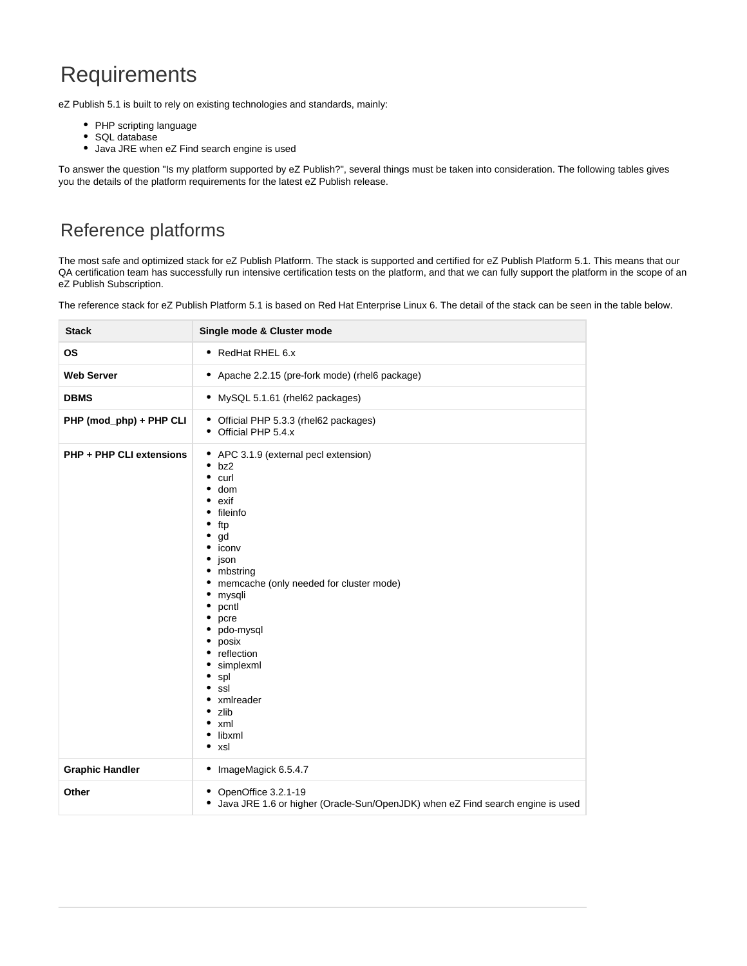# **Requirements**

eZ Publish 5.1 is built to rely on existing technologies and standards, mainly:

- PHP scripting language
- SQL database
- Java JRE when eZ Find search engine is used

To answer the question "Is my platform supported by eZ Publish?", several things must be taken into consideration. The following tables gives you the details of the platform requirements for the latest eZ Publish release.

## Reference platforms

The most safe and optimized stack for eZ Publish Platform. The stack is supported and certified for eZ Publish Platform 5.1. This means that our QA certification team has successfully run intensive certification tests on the platform, and that we can fully support the platform in the scope of an eZ Publish Subscription.

The reference stack for eZ Publish Platform 5.1 is based on Red Hat Enterprise Linux 6. The detail of the stack can be seen in the table below.

| <b>Stack</b>                    | Single mode & Cluster mode                                                                                                                                                                                                                                                                                                   |
|---------------------------------|------------------------------------------------------------------------------------------------------------------------------------------------------------------------------------------------------------------------------------------------------------------------------------------------------------------------------|
| <b>OS</b>                       | • RedHat RHEL 6.x                                                                                                                                                                                                                                                                                                            |
| <b>Web Server</b>               | • Apache 2.2.15 (pre-fork mode) (rhel6 package)                                                                                                                                                                                                                                                                              |
| <b>DBMS</b>                     | • MySQL 5.1.61 (rhel62 packages)                                                                                                                                                                                                                                                                                             |
| PHP (mod_php) + PHP CLI         | • Official PHP 5.3.3 (rhel62 packages)<br>• Official PHP 5.4.x                                                                                                                                                                                                                                                               |
| <b>PHP + PHP CLI extensions</b> | • APC 3.1.9 (external pecl extension)<br>• bz2<br>curl<br>٠<br>dom<br>exif<br>fileinfo<br>ftp<br>gd<br>iconv<br>json<br>mbstring<br>memcache (only needed for cluster mode)<br>mysqli<br>pcntl<br>pcre<br>pdo-mysql<br>posix<br>reflection<br>simplexml<br>spl<br>ssl<br>xmlreader<br>zlib<br>xml<br>libxml<br>$\bullet$ xsl |
| <b>Graphic Handler</b>          | • ImageMagick 6.5.4.7                                                                                                                                                                                                                                                                                                        |
| Other                           | • OpenOffice 3.2.1-19<br>• Java JRE 1.6 or higher (Oracle-Sun/OpenJDK) when eZ Find search engine is used                                                                                                                                                                                                                    |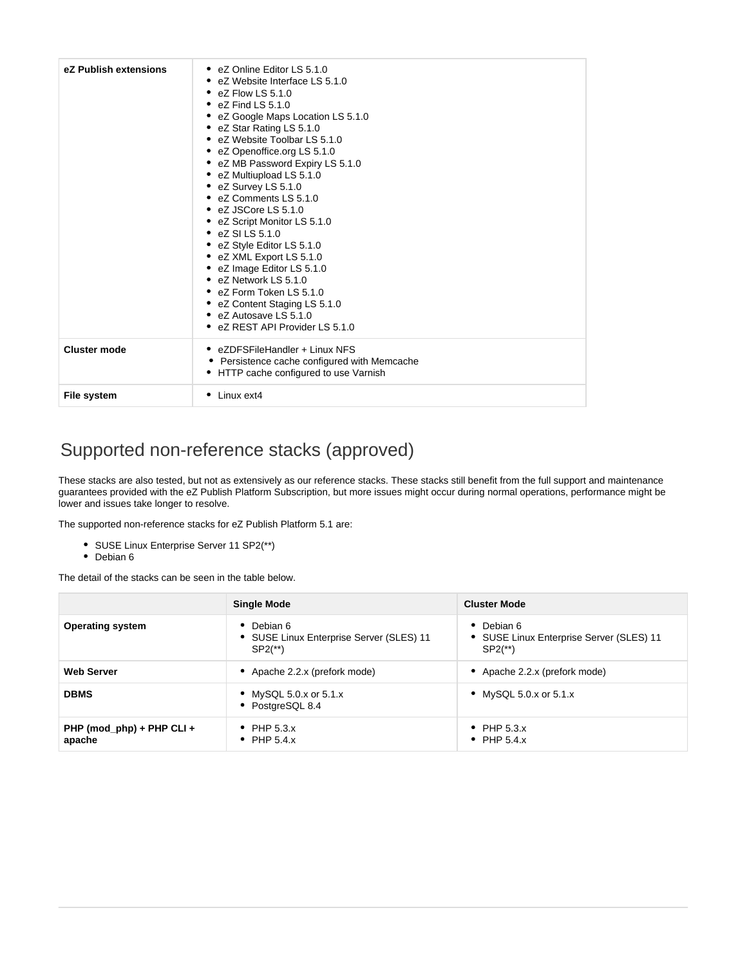| eZ Publish extensions | • eZ Online Editor LS 5.1.0<br>eZ Website Interface LS 5.1.0<br>• $eZ$ Flow LS 5.1.0<br>• $eZ$ Find LS 5.1.0<br>eZ Google Maps Location LS 5.1.0<br>• eZ Star Rating LS 5.1.0<br>• eZ Website Toolbar LS 5.1.0<br>• eZ Openoffice.org LS 5.1.0<br>eZ MB Password Expiry LS 5.1.0<br>• eZ Multiupload LS 5.1.0<br>• eZ Survey LS 5.1.0<br>• eZ Comments LS 5.1.0<br>$\bullet$ eZ JSCore LS 5.1.0<br>• eZ Script Monitor LS 5.1.0<br>$\bullet$ eZ SILS 5.1.0<br>eZ Style Editor LS 5.1.0<br>• eZ XML Export LS 5.1.0<br>• eZ Image Editor LS 5.1.0<br>• eZ Network LS 5.1.0<br>• eZ Form Token LS 5.1.0<br>• eZ Content Staging LS 5.1.0<br>• eZ Autosave LS 5.1.0<br>• eZ REST API Provider LS 5.1.0 |
|-----------------------|-----------------------------------------------------------------------------------------------------------------------------------------------------------------------------------------------------------------------------------------------------------------------------------------------------------------------------------------------------------------------------------------------------------------------------------------------------------------------------------------------------------------------------------------------------------------------------------------------------------------------------------------------------------------------------------------------------|
| <b>Cluster mode</b>   | • eZDFSFileHandler + Linux NFS<br>• Persistence cache configured with Memcache<br>• HTTP cache configured to use Varnish                                                                                                                                                                                                                                                                                                                                                                                                                                                                                                                                                                            |
| <b>File system</b>    | $\bullet$ Linux ext4                                                                                                                                                                                                                                                                                                                                                                                                                                                                                                                                                                                                                                                                                |

## Supported non-reference stacks (approved)

These stacks are also tested, but not as extensively as our reference stacks. These stacks still benefit from the full support and maintenance guarantees provided with the eZ Publish Platform Subscription, but more issues might occur during normal operations, performance might be lower and issues take longer to resolve.

The supported non-reference stacks for eZ Publish Platform 5.1 are:

- SUSE Linux Enterprise Server 11 SP2(\*\*)
- Debian 6

The detail of the stacks can be seen in the table below.

|                                     | <b>Single Mode</b>                                                            | <b>Cluster Mode</b>                                                           |
|-------------------------------------|-------------------------------------------------------------------------------|-------------------------------------------------------------------------------|
| <b>Operating system</b>             | Debian 6<br>• SUSE Linux Enterprise Server (SLES) 11<br>$SP2$ <sup>**</sup> ) | Debian 6<br>• SUSE Linux Enterprise Server (SLES) 11<br>$SP2$ <sup>**</sup> ) |
| <b>Web Server</b>                   | Apache 2.2.x (prefork mode)                                                   | • Apache 2.2.x (prefork mode)                                                 |
| <b>DBMS</b>                         | • MySQL 5.0.x or 5.1.x<br>• PostgreSQL 8.4                                    | • MySQL 5.0.x or 5.1.x                                                        |
| PHP (mod_php) + PHP CLI +<br>apache | • PHP $5.3.x$<br>PHP 5.4.x                                                    | • PHP $5.3.x$<br>• PHP $5.4.x$                                                |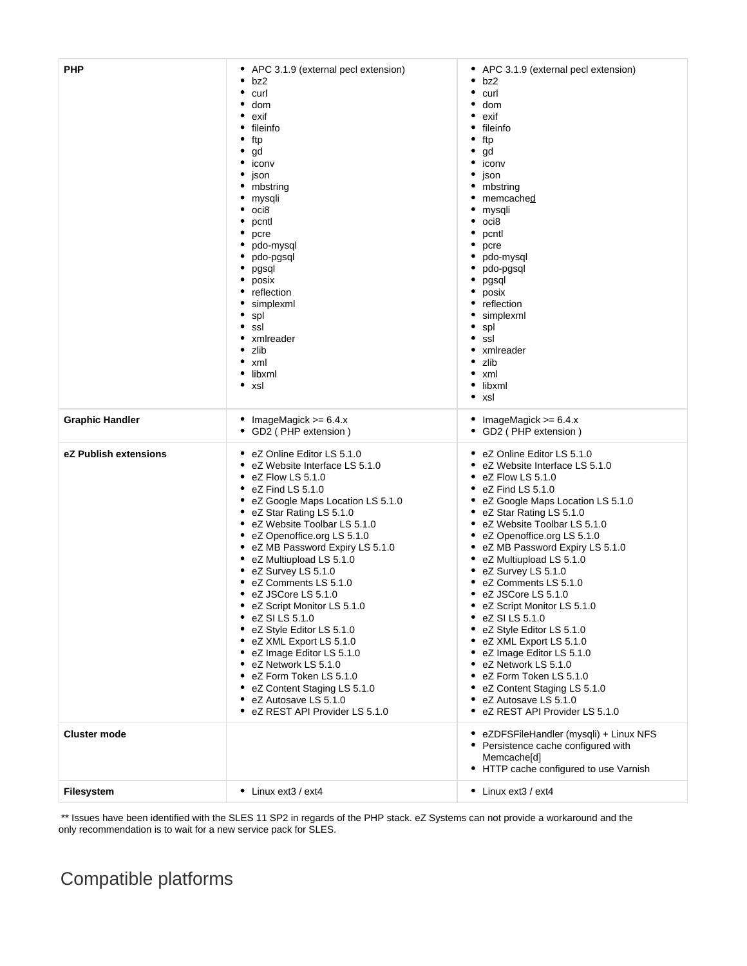| <b>PHP</b>             | APC 3.1.9 (external pecl extension)<br>٠<br>٠<br>bz2<br>curl<br>dom<br>exif<br>fileinfo<br>ftp<br>gd<br>iconv<br>۰<br>json<br>mbstring<br>mysqli<br>oci8<br>pcntl<br>pcre<br>pdo-mysql<br>pdo-pgsql<br>pgsql<br>posix<br>reflection<br>simplexml<br>spl<br>ssl<br>xmlreader<br>zlib<br>xml<br>libxml<br>٠<br>٠<br>xsl                                                                                                                                                                                                                                                                                                                                                    | • APC 3.1.9 (external pecl extension)<br>٠<br>bz2<br>curl<br>dom<br>exif<br>fileinfo<br>ftp<br>gd<br>iconv<br>json<br>mbstring<br>memcached<br>mysqli<br>oci8<br>pcntl<br>pcre<br>pdo-mysql<br>pdo-pgsql<br>pgsql<br>posix<br>reflection<br>simplexml<br>spl<br>ssl<br>xmlreader<br>zlib<br>xml<br>libxml<br>xsl<br>٠                                                                                                                                                                                                                                                                                                                                                    |
|------------------------|--------------------------------------------------------------------------------------------------------------------------------------------------------------------------------------------------------------------------------------------------------------------------------------------------------------------------------------------------------------------------------------------------------------------------------------------------------------------------------------------------------------------------------------------------------------------------------------------------------------------------------------------------------------------------|--------------------------------------------------------------------------------------------------------------------------------------------------------------------------------------------------------------------------------------------------------------------------------------------------------------------------------------------------------------------------------------------------------------------------------------------------------------------------------------------------------------------------------------------------------------------------------------------------------------------------------------------------------------------------|
| <b>Graphic Handler</b> | ImageMagick $>= 6.4.x$<br>GD2 (PHP extension)<br>٠                                                                                                                                                                                                                                                                                                                                                                                                                                                                                                                                                                                                                       | ImageMagick $>= 6.4.x$<br>• GD2 ( PHP extension )                                                                                                                                                                                                                                                                                                                                                                                                                                                                                                                                                                                                                        |
| eZ Publish extensions  | eZ Online Editor LS 5.1.0<br>eZ Website Interface LS 5.1.0<br>eZ Flow LS 5.1.0<br>eZ Find LS 5.1.0<br>eZ Google Maps Location LS 5.1.0<br>eZ Star Rating LS 5.1.0<br>٠<br>eZ Website Toolbar LS 5.1.0<br>٠<br>eZ Openoffice.org LS 5.1.0<br>eZ MB Password Expiry LS 5.1.0<br>eZ Multiupload LS 5.1.0<br>eZ Survey LS 5.1.0<br>eZ Comments LS 5.1.0<br>eZ JSCore LS 5.1.0<br>eZ Script Monitor LS 5.1.0<br>eZ SI LS 5.1.0<br>eZ Style Editor LS 5.1.0<br>eZ XML Export LS 5.1.0<br>٠<br>eZ Image Editor LS 5.1.0<br>eZ Network LS 5.1.0<br>٠<br>eZ Form Token LS 5.1.0<br>eZ Content Staging LS 5.1.0<br>٠<br>eZ Autosave LS 5.1.0<br>٠<br>eZ REST API Provider LS 5.1.0 | eZ Online Editor LS 5.1.0<br>eZ Website Interface LS 5.1.0<br>eZ Flow LS 5.1.0<br>eZ Find LS 5.1.0<br>eZ Google Maps Location LS 5.1.0<br>eZ Star Rating LS 5.1.0<br>eZ Website Toolbar LS 5.1.0<br>٠<br>eZ Openoffice.org LS 5.1.0<br>eZ MB Password Expiry LS 5.1.0<br>eZ Multiupload LS 5.1.0<br>eZ Survey LS 5.1.0<br>eZ Comments LS 5.1.0<br>eZ JSCore LS 5.1.0<br>eZ Script Monitor LS 5.1.0<br>$\bullet$ eZ SI LS 5.1.0<br>• eZ Style Editor LS 5.1.0<br>• eZ XML Export LS 5.1.0<br>eZ Image Editor LS 5.1.0<br>eZ Network LS 5.1.0<br>٠<br>eZ Form Token LS 5.1.0<br>• eZ Content Staging LS 5.1.0<br>• eZ Autosave LS 5.1.0<br>• eZ REST API Provider LS 5.1.0 |
| <b>Cluster mode</b>    |                                                                                                                                                                                                                                                                                                                                                                                                                                                                                                                                                                                                                                                                          | • eZDFSFileHandler (mysqli) + Linux NFS<br>• Persistence cache configured with<br>Memcache <sup>[d]</sup><br>• HTTP cache configured to use Varnish                                                                                                                                                                                                                                                                                                                                                                                                                                                                                                                      |
| Filesystem             | • Linux ext3 / ext4                                                                                                                                                                                                                                                                                                                                                                                                                                                                                                                                                                                                                                                      | • Linux ext3 / ext4                                                                                                                                                                                                                                                                                                                                                                                                                                                                                                                                                                                                                                                      |

 \*\* Issues have been identified with the SLES 11 SP2 in regards of the PHP stack. eZ Systems can not provide a workaround and the only recommendation is to wait for a new service pack for SLES.

## Compatible platforms